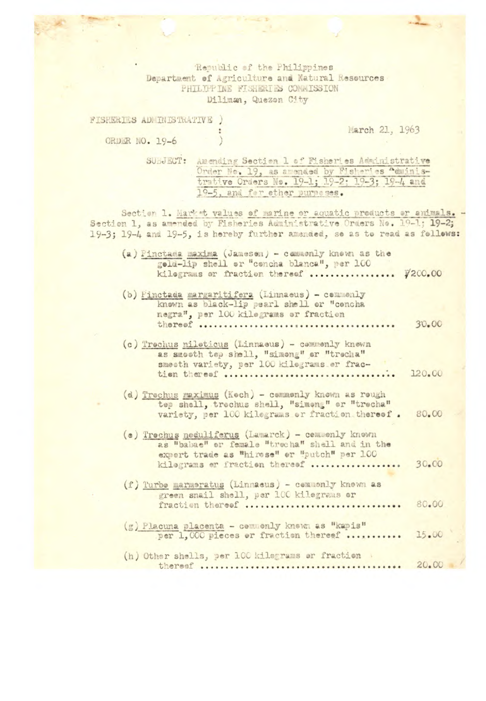Republic of the Philippines Department of Agriculture and Natural Resources PHILTPP INE FISHERIES COMMISSION Diliman, Quezon City

| TSHERIES ADMINISTRATIVE / |  |                                                         | March 21, 1963 |
|---------------------------|--|---------------------------------------------------------|----------------|
| ORDER NO. 19-6            |  |                                                         |                |
|                           |  | SUBJECT: Amending Section 1 of Fisheries Administrative |                |

Order No. 19, as amended by Fisheries "duinis-<br>trative Orders No. 19-1; 19-2; 19-3; 19-4 and 19-5, and for ether purposes.

Section 1. Market values of marine or aquatic products or animals.<br>Section 1, as amended by Fisheries Administrative Orders No. 19-1; 19-2; 19-3; 19-4 and 19-5, is hereby further amended, so as to read as follows:

| (a) Finctaga maxima (Jamesen) - Cemagniy Knewn as the<br>geld-lip shell or "concha blanca", per 100<br>kilograms or fraction thereof                                                 | ¥200.00 |  |
|--------------------------------------------------------------------------------------------------------------------------------------------------------------------------------------|---------|--|
| (b) Finctada margaritifera (Linnaeus) - commenly<br>known as black-lip pearl shell or "cencha<br>negra", per 100 kilograms or fraction                                               | 30.00   |  |
| (c) Trochus nileticus (Linnaeus) - commenly knewn<br>as smooth top shell, "simong" or "trocha"<br>smeeth variety, per 100 kilograms er frac-<br>tion theresf                         | 120.00  |  |
| (d) Trechus maximus (Kech) - cemmenly known as rough<br>tep shell, trechus shell, "simeng" or "trecha"<br>variety, per 100 kilograms or fraction thereof.                            | 80.00   |  |
| (e) Trechus neduliferus (Lamarck) - cemmenly knewn<br>as "babae" or female "trucha" shell and in the<br>expert trade as "hirese" or "putch" per 100<br>kilograms or fraction thereof | 30.00   |  |
| (f) Turbe marmeratus (Linnaeus) - commenly known as<br>green snail shell, per 100 kilograms or<br>fraction thereof                                                                   | 80.00   |  |
| (g) Placuna placenta - cennenly knewn as "kapis"<br>per 1.000 pieces or fraction thereof                                                                                             | 15.00   |  |
| (h) Other shells, per 100 kilograms or fraction<br>$\frac{1}{2}$ de la magazine de la m                                                                                              | 20.00   |  |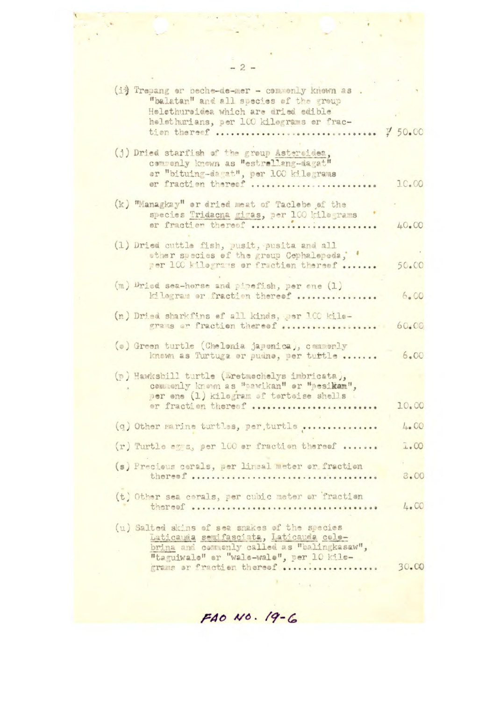|  | (i) Trepang or beche-de-mer - commenly known as .<br>"balatan" and all species of the group                                  |           |
|--|------------------------------------------------------------------------------------------------------------------------------|-----------|
|  | Hølethurøidea which are dried edible                                                                                         |           |
|  | helethurians, per 100 kilegrams er frac-<br>tion thereof  7 50.00                                                            |           |
|  | (j) Dried starfish of the group Asteroidea.<br>commenly known as "estrallang-dagat"<br>er "bituing-dagat", per 100 kilegrams |           |
|  | er fraction thereef                                                                                                          | 10.00     |
|  | (k) "Managkay" or dried meat of Taclebe of the                                                                               |           |
|  | species Tridacna gigas, per 100 kilograms<br>or fraction thereof                                                             | 40.00     |
|  | (1) Dried cuttle fish, pusit, pusita and all                                                                                 |           |
|  | other species of the group Cephalopeda;<br>per 100 kilograms or fraction thereof                                             | 50.00     |
|  | (m) Dried sea-horse and pipefish, per one (1)                                                                                |           |
|  | kilogram or fraction thereof                                                                                                 | 6.00      |
|  | (n) Dried sharkfins of all kinds, per ICC kilo-<br>grams er fraction thereof                                                 | 60.00     |
|  | (o) Green turtle (Chelenia japonica), commonly<br>known as Turtuga er pudne, per turtle                                      | 6.00      |
|  |                                                                                                                              |           |
|  | (n) Hawksbill turtle (Eretmochelys imbricata),<br>commonly known as "pawikan" or "pesikan",                                  |           |
|  | per one (1) kilogram of tortoise shells<br>or fraction thereof                                                               | 10.00     |
|  | (q) Other marine turtles, per turtle                                                                                         | 4.00      |
|  | (r) Turtle eggs, per 100 er fraction thereof                                                                                 | 1.00      |
|  | (s) Precious corals, per lineal meter or fraction                                                                            |           |
|  |                                                                                                                              | 8.00      |
|  | (t) Other sea cerals, per cubic meter or fraction                                                                            | 4.00      |
|  | (u) Salted skins of sea snakes of the species                                                                                |           |
|  | Laticauda semifasciata, Laticauda cole-<br>brina and commenly called as "balingkasaw",                                       |           |
|  | "taguiwale" er "wale-wale", per 10 kilo-<br>grams or fraction thereof                                                        | $30 - 00$ |
|  |                                                                                                                              |           |

FAO NO. 19-6